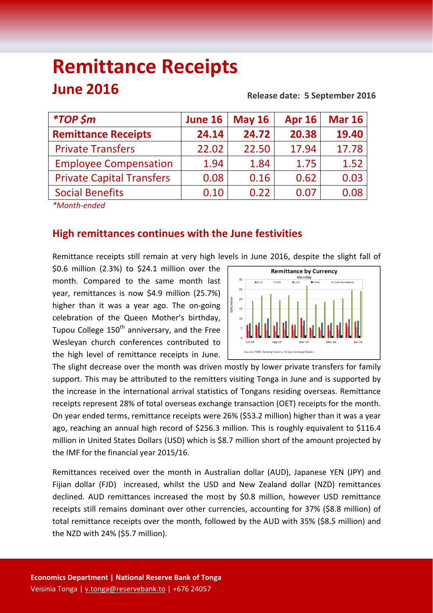# **Remittance Receipts June 2016**

#### **Release date: 5 September 2016**

| <i><b>*TOP \$m</b></i>                                | June 16 | <b>May 16</b> | <b>Apr 16</b> | <b>Mar 16</b> |
|-------------------------------------------------------|---------|---------------|---------------|---------------|
| <b>Remittance Receipts</b>                            | 24.14   | 24.72         | 20.38         | 19.40         |
| <b>Private Transfers</b>                              | 22.02   | 22.50         | 17.94         | 17.78         |
| <b>Employee Compensation</b>                          | 1.94    | 1.84          | 1.75          | 1.52          |
| <b>Private Capital Transfers</b>                      | 0.08    | 0.16          | 0.62          | 0.03          |
| <b>Social Benefits</b>                                | 0.10    | 0.22          | 0.07          | 0.08          |
| $\mathcal{L}$ and the set of the set of $\mathcal{L}$ |         |               |               |               |

*\*Month‐ended*

# **High remittances continues with the June festivities**

Remittance receipts still remain at very high levels in June 2016, despite the slight fall of

\$0.6 million (2.3%) to \$24.1 million over the month. Compared to the same month last year, remittances is now \$4.9 million (25.7%) higher than it was a year ago. The on‐going celebration of the Queen Mother's birthday, Tupou College  $150<sup>th</sup>$  anniversary, and the Free Wesleyan church conferences contributed to the high level of remittance receipts in June.



The slight decrease over the month was driven mostly by lower private transfers for family support. This may be attributed to the remitters visiting Tonga in June and is supported by the increase in the international arrival statistics of Tongans residing overseas. Remittance receipts represent 28% of total overseas exchange transaction (OET) receipts for the month. On year ended terms, remittance receipts were 26% (\$53.2 million) higher than it was a year ago, reaching an annual high record of \$256.3 million. This is roughly equivalent to \$116.4 million in United States Dollars (USD) which is \$8.7 million short of the amount projected by the IMF for the financial year 2015/16.

Remittances received over the month in Australian dollar (AUD), Japanese YEN (JPY) and Fijian dollar (FJD) increased, whilst the USD and New Zealand dollar (NZD) remittances declined. AUD remittances increased the most by \$0.8 million, however USD remittance receipts still remains dominant over other currencies, accounting for 37% (\$8.8 million) of total remittance receipts over the month, followed by the AUD with 35% (\$8.5 million) and the NZD with 24% (\$5.7 million).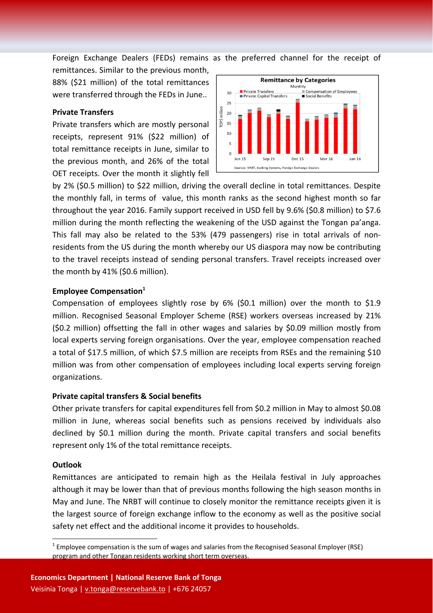Foreign Exchange Dealers (FEDs) remains as the preferred channel for the receipt of

remittances. Similar to the previous month, 88% (\$21 million) of the total remittances were transferred through the FEDs in June..

#### **Private Transfers**

Private transfers which are mostly personal receipts, represent 91% (\$22 million) of total remittance receipts in June, similar to the previous month, and 26% of the total OET receipts. Over the month it slightly fell



by 2% (\$0.5 million) to \$22 million, driving the overall decline in total remittances. Despite the monthly fall, in terms of value, this month ranks as the second highest month so far throughout the year 2016. Family support received in USD fell by 9.6% (\$0.8 million) to \$7.6 million during the month reflecting the weakening of the USD against the Tongan pa'anga. This fall may also be related to the 53% (479 passengers) rise in total arrivals of non‐ residents from the US during the month whereby our US diaspora may now be contributing to the travel receipts instead of sending personal transfers. Travel receipts increased over the month by 41% (\$0.6 million).

## **Employee Compensation**<sup>1</sup>

Compensation of employees slightly rose by 6% (\$0.1 million) over the month to \$1.9 million. Recognised Seasonal Employer Scheme (RSE) workers overseas increased by 21% (\$0.2 million) offsetting the fall in other wages and salaries by \$0.09 million mostly from local experts serving foreign organisations. Over the year, employee compensation reached a total of \$17.5 million, of which \$7.5 million are receipts from RSEs and the remaining \$10 million was from other compensation of employees including local experts serving foreign organizations.

## **Private capital transfers & Social benefits**

Other private transfers for capital expenditures fell from \$0.2 million in May to almost \$0.08 million in June, whereas social benefits such as pensions received by individuals also declined by \$0.1 million during the month. Private capital transfers and social benefits represent only 1% of the total remittance receipts.

## **Outlook**

Remittances are anticipated to remain high as the Heilala festival in July approaches although it may be lower than that of previous months following the high season months in May and June. The NRBT will continue to closely monitor the remittance receipts given it is the largest source of foreign exchange inflow to the economy as well as the positive social safety net effect and the additional income it provides to households.

 $1$  Employee compensation is the sum of wages and salaries from the Recognised Seasonal Employer (RSE) program and other Tongan residents working short term overseas.